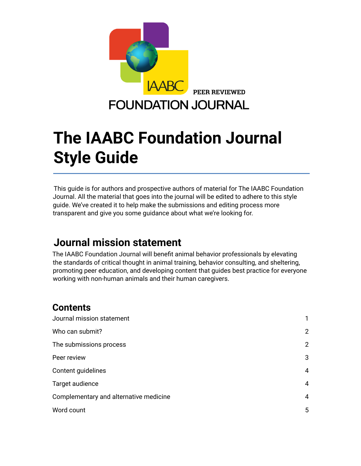

# **The IAABC Foundation Journal Style Guide**

This guide is for authors and prospective authors of material for The IAABC Foundation Journal. All the material that goes into the journal will be edited to adhere to this style guide. We've created it to help make the submissions and editing process more transparent and give you some guidance about what we're looking for.

### <span id="page-0-0"></span>**Journal mission statement**

The IAABC Foundation Journal will benefit animal behavior professionals by elevating the standards of critical thought in animal training, behavior consulting, and sheltering, promoting peer education, and developing content that guides best practice for everyone working with non-human animals and their human caregivers.

### **Contents**

| Journal mission statement              |                |
|----------------------------------------|----------------|
| Who can submit?                        | 2              |
| The submissions process                | $\overline{2}$ |
| Peer review                            | 3              |
| Content guidelines                     | $\overline{4}$ |
| Target audience                        | $\overline{4}$ |
| Complementary and alternative medicine | 4              |
| Word count                             | 5              |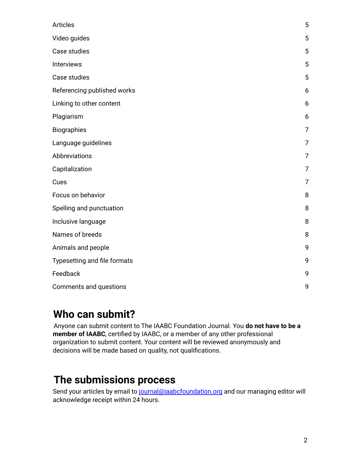| Articles                     | 5              |
|------------------------------|----------------|
| Video guides                 | 5              |
| Case studies                 | 5              |
| Interviews                   | 5              |
| Case studies                 | 5              |
| Referencing published works  | 6              |
| Linking to other content     | 6              |
| Plagiarism                   | 6              |
| Biographies                  | 7              |
| Language guidelines          | 7              |
| Abbreviations                | 7              |
| Capitalization               | $\overline{7}$ |
| Cues                         | $\overline{7}$ |
| Focus on behavior            | 8              |
| Spelling and punctuation     | 8              |
| Inclusive language           | 8              |
| Names of breeds              | 8              |
| Animals and people           | 9              |
| Typesetting and file formats | 9              |
| Feedback                     | 9              |
| Comments and questions       | 9              |

### <span id="page-1-0"></span>**Who can submit?**

Anyone can submit content to The IAABC Foundation Journal. You **do not have to be a member of IAABC**, certified by IAABC, or a member of any other professional organization to submit content. Your content will be reviewed anonymously and decisions will be made based on quality, not qualifications.

### <span id="page-1-1"></span>**The submissions process**

Send your articles by email to journal@iaabcfoundation.org and our managing editor will acknowledge receipt within 24 hours.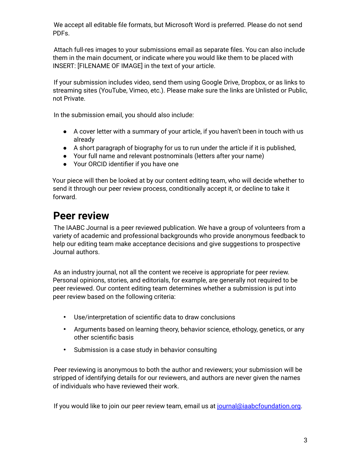We accept all editable file formats, but Microsoft Word is preferred. Please do not send PDFs.

Attach full-res images to your submissions email as separate files. You can also include them in the main document, or indicate where you would like them to be placed with INSERT: [FILENAME OF IMAGE] in the text of your article.

If your submission includes video, send them using Google Drive, Dropbox, or as links to streaming sites (YouTube, Vimeo, etc.). Please make sure the links are Unlisted or Public, not Private.

In the submission email, you should also include:

- A cover letter with a summary of your article, if you haven't been in touch with us already
- A short paragraph of biography for us to run under the article if it is published,
- Your full name and relevant postnominals (letters after your name)
- Your ORCID identifier if you have one

Your piece will then be looked at by our content editing team, who will decide whether to send it through our peer review process, conditionally accept it, or decline to take it forward.

### <span id="page-2-0"></span>**Peer review**

The IAABC Journal is a peer reviewed publication. We have a group of volunteers from a variety of academic and professional backgrounds who provide anonymous feedback to help our editing team make acceptance decisions and give suggestions to prospective Journal authors.

As an industry journal, not all the content we receive is appropriate for peer review. Personal opinions, stories, and editorials, for example, are generally not required to be peer reviewed. Our content editing team determines whether a submission is put into peer review based on the following criteria:

- Use/interpretation of scientific data to draw conclusions
- Arguments based on learning theory, behavior science, ethology, genetics, or any other scientific basis
- Submission is a case study in behavior consulting

Peer reviewing is anonymous to both the author and reviewers; your submission will be stripped of identifying details for our reviewers, and authors are never given the names of individuals who have reviewed their work.

If you would like to join our peer review team, email us at journal@iaabcfoundation.org.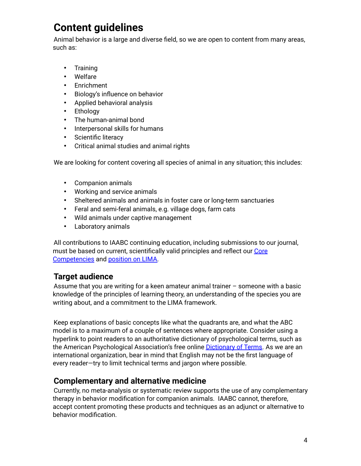### <span id="page-3-0"></span>**Content guidelines**

Animal behavior is a large and diverse field, so we are open to content from many areas, such as:

- Training
- Welfare
- Enrichment
- Biology's influence on behavior
- Applied behavioral analysis
- Ethology
- The human-animal bond
- Interpersonal skills for humans
- Scientific literacy
- Critical animal studies and animal rights

We are looking for content covering all species of animal in any situation; this includes:

- Companion animals
- Working and service animals
- Sheltered animals and animals in foster care or long-term sanctuaries
- Feral and semi-feral animals, e.g. village dogs, farm cats
- Wild animals under captive management
- Laboratory animals

All contributions to IAABC continuing education, including submissions to our journal, must be based on current, scientifically valid principles and reflect our Core Competencies and position on LIMA.

### <span id="page-3-1"></span>**Target audience**

Assume that you are writing for a keen amateur animal trainer – someone with a basic knowledge of the principles of learning theory, an understanding of the species you are writing about, and a commitment to the LIMA framework.

Keep explanations of basic concepts like what the quadrants are, and what the ABC model is to a maximum of a couple of sentences where appropriate. Consider using a hyperlink to point readers to an authoritative dictionary of psychological terms, such as the American Psychological Association's free online **Dictionary of Terms**. As we are an international organization, bear in mind that English may not be the first language of every reader—try to limit technical terms and jargon where possible.

#### <span id="page-3-2"></span>**Complementary and alternative medicine**

Currently, no meta-analysis or systematic review supports the use of any complementary therapy in behavior modification for companion animals. IAABC cannot, therefore, accept content promoting these products and techniques as an adjunct or alternative to behavior modification.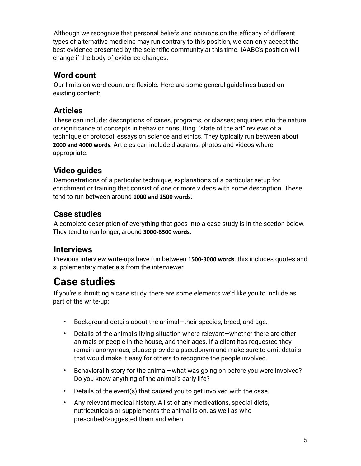Although we recognize that personal beliefs and opinions on the efficacy of different types of alternative medicine may run contrary to this position, we can only accept the best evidence presented by the scientific community at this time. IAABC's position will change if the body of evidence changes.

#### <span id="page-4-0"></span>**Word count**

Our limits on word count are flexible. Here are some general guidelines based on existing content:

### <span id="page-4-1"></span>**Articles**

These can include: descriptions of cases, programs, or classes; enquiries into the nature or significance of concepts in behavior consulting; "state of the art" reviews of a technique or protocol; essays on science and ethics. They typically run between about **2000 and 4000 words**. Articles can include diagrams, photos and videos where appropriate.

### <span id="page-4-2"></span>**Video guides**

Demonstrations of a particular technique, explanations of a particular setup for enrichment or training that consist of one or more videos with some description. These tend to run between around **1000 and 2500 words**.

#### <span id="page-4-3"></span>**Case studies**

A complete description of everything that goes into a case study is in the section below. They tend to run longer, around **3000-6500 words.**

#### <span id="page-4-4"></span>**Interviews**

Previous interview write-ups have run between **1500-3000 words**; this includes quotes and supplementary materials from the interviewer.

# <span id="page-4-5"></span>**Case studies**

If you're submitting a case study, there are some elements we'd like you to include as part of the write-up:

- Background details about the animal—their species, breed, and age.
- Details of the animal's living situation where relevant—whether there are other animals or people in the house, and their ages. If a client has requested they remain anonymous, please provide a pseudonym and make sure to omit details that would make it easy for others to recognize the people involved.
- Behavioral history for the animal—what was going on before you were involved? Do you know anything of the animal's early life?
- Details of the event(s) that caused you to get involved with the case.
- Any relevant medical history. A list of any medications, special diets, nutriceuticals or supplements the animal is on, as well as who prescribed/suggested them and when.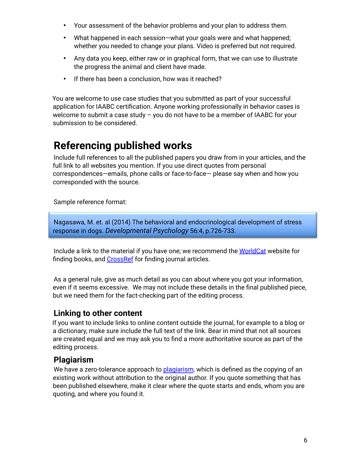- Your assessment of the behavior problems and your plan to address them.
- What happened in each session—what your goals were and what happened; whether you needed to change your plans. Video is preferred but not required.
- Any data you keep, either raw or in graphical form, that we can use to illustrate the progress the animal and client have made.
- If there has been a conclusion, how was it reached?

You are welcome to use case studies that you submitted as part of your successful application for IAABC certification. Anyone working professionally in behavior cases is welcome to submit a case study – you do not have to be a member of IAABC for your submission to be considered.

### <span id="page-5-0"></span>**Referencing published works**

Include full references to all the published papers you draw from in your articles, and the full link to all websites you mention. If you use direct quotes from personal correspondences—emails, phone calls or face-to-face— please say when and how you corresponded with the source.

Sample reference format:

Nagasawa, M. et. al (2014) The behavioral and endocrinological development of stress response in dogs. *Developmental Psychology* 56:4, p.726-733.

Include a link to the material if you have one; we recommend the WorldCat website for finding books, and CrossRef for finding journal articles.

As a general rule, give as much detail as you can about where you got your information, even if it seems excessive. We may not include these details in the final published piece, but we need them for the fact-checking part of the editing process.

#### <span id="page-5-1"></span>**Linking to other content**

If you want to include links to online content outside the journal, for example to a blog or a dictionary, make sure include the full text of the link. Bear in mind that not all sources are created equal and we may ask you to find a more authoritative source as part of the editing process.

#### <span id="page-5-2"></span>**Plagiarism**

We have a zero-tolerance approach to plagiarism, which is defined as the copying of an existing work without attribution to the original author. If you quote something that has been published elsewhere, make it clear where the quote starts and ends, whom you are quoting, and where you found it.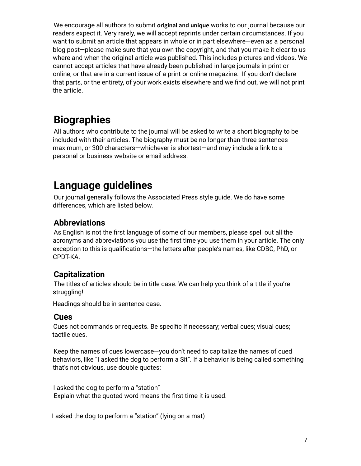We encourage all authors to submit **original and unique** works to our journal because our readers expect it. Very rarely, we will accept reprints under certain circumstances. If you want to submit an article that appears in whole or in part elsewhere—even as a personal blog post—please make sure that you own the copyright, and that you make it clear to us where and when the original article was published. This includes pictures and videos. We cannot accept articles that have already been published in large journals in print or online, or that are in a current issue of a print or online magazine. If you don't declare that parts, or the entirety, of your work exists elsewhere and we find out, we will not print the article.

# <span id="page-6-0"></span>**Biographies**

All authors who contribute to the journal will be asked to write a short biography to be included with their articles. The biography must be no longer than three sentences maximum, or 300 characters—whichever is shortest—and may include a link to a personal or business website or email address.

### <span id="page-6-1"></span>**Language guidelines**

Our journal generally follows the Associated Press style guide. We do have some differences, which are listed below.

#### <span id="page-6-2"></span>**Abbreviations**

As English is not the first language of some of our members, please spell out all the acronyms and abbreviations you use the first time you use them in your article. The only exception to this is qualifications—the letters after people's names, like CDBC, PhD, or CPDT-KA.

#### <span id="page-6-3"></span>**Capitalization**

The titles of articles should be in title case. We can help you think of a title if you're struggling!

Headings should be in sentence case.

#### <span id="page-6-4"></span>**Cues**

Cues not commands or requests. Be specific if necessary; verbal cues; visual cues; tactile cues.

Keep the names of cues lowercase—you don't need to capitalize the names of cued behaviors, like "I asked the dog to perform a Sit". If a behavior is being called something that's not obvious, use double quotes:

I asked the dog to perform a "station" Explain what the quoted word means the first time it is used.

I asked the dog to perform a "station" (lying on a mat)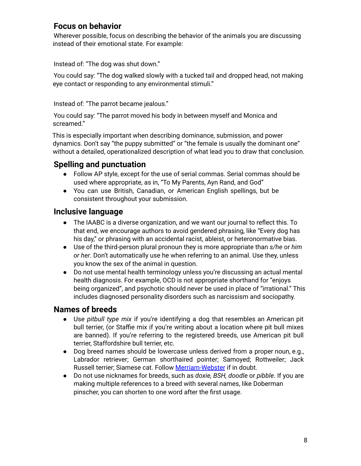#### <span id="page-7-0"></span>**Focus on behavior**

Wherever possible, focus on describing the behavior of the animals you are discussing instead of their emotional state. For example:

Instead of: "The dog was shut down."

You could say: "The dog walked slowly with a tucked tail and dropped head, not making eye contact or responding to any environmental stimuli."

Instead of: "The parrot became jealous."

You could say: "The parrot moved his body in between myself and Monica and screamed."

This is especially important when describing dominance, submission, and power dynamics. Don't say "the puppy submitted" or "the female is usually the dominant one" without a detailed, operationalized description of what lead you to draw that conclusion.

#### <span id="page-7-1"></span>**Spelling and punctuation**

- Follow AP style, except for the use of serial commas. Serial commas should be used where appropriate, as in, "To My Parents, Ayn Rand, and God"
- You can use British, Canadian, or American English spellings, but be consistent throughout your submission.

#### <span id="page-7-2"></span>**Inclusive language**

- The IAABC is a diverse organization, and we want our journal to reflect this. To that end, we encourage authors to avoid gendered phrasing, like "Every dog has his day," or phrasing with an accidental racist, ableist, or heteronormative bias.
- Use of the third-person plural pronoun they is more appropriate than *s/he* or *him or her*. Don't automatically use he when referring to an animal. Use they, unless you know the sex of the animal in question.
- Do not use mental health terminology unless you're discussing an actual mental health diagnosis. For example, OCD is not appropriate shorthand for "enjoys being organized", and psychotic should never be used in place of "irrational." This includes diagnosed personality disorders such as narcissism and sociopathy.

#### <span id="page-7-3"></span>**Names of breeds**

- Use *pitbull type mix* if you're identifying a dog that resembles an American pit bull terrier, (or Staffie mix if you're writing about a location where pit bull mixes are banned). If you're referring to the registered breeds, use American pit bull terrier, Staffordshire bull terrier, etc.
- Dog breed names should be lowercase unless derived from a proper noun, e.g., Labrador retriever; German shorthaired pointer; Samoyed; Rottweiler; Jack Russell terrier; Siamese cat. Follow Merriam-Webster if in doubt.
- Do not use nicknames for breeds, such as *doxie, BSH, doodle* or *pibble*. If you are making multiple references to a breed with several names, like Doberman pinscher, you can shorten to one word after the first usage.